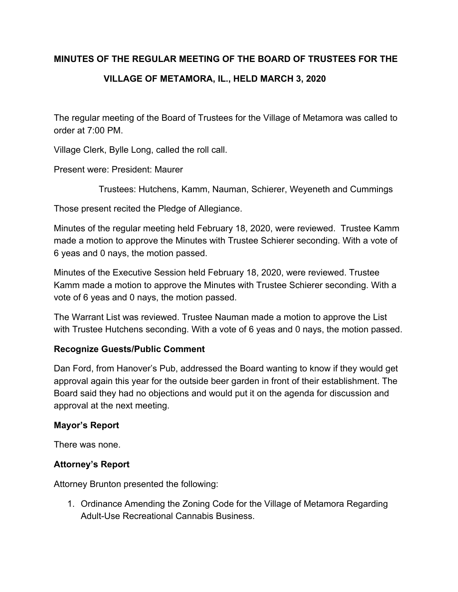## **MINUTES OF THE REGULAR MEETING OF THE BOARD OF TRUSTEES FOR THE**

# **VILLAGE OF METAMORA, IL., HELD MARCH 3, 2020**

The regular meeting of the Board of Trustees for the Village of Metamora was called to order at 7:00 PM.

Village Clerk, Bylle Long, called the roll call.

Present were: President: Maurer

Trustees: Hutchens, Kamm, Nauman, Schierer, Weyeneth and Cummings

Those present recited the Pledge of Allegiance.

Minutes of the regular meeting held February 18, 2020, were reviewed. Trustee Kamm made a motion to approve the Minutes with Trustee Schierer seconding. With a vote of 6 yeas and 0 nays, the motion passed.

Minutes of the Executive Session held February 18, 2020, were reviewed. Trustee Kamm made a motion to approve the Minutes with Trustee Schierer seconding. With a vote of 6 yeas and 0 nays, the motion passed.

The Warrant List was reviewed. Trustee Nauman made a motion to approve the List with Trustee Hutchens seconding. With a vote of 6 yeas and 0 nays, the motion passed.

## **Recognize Guests/Public Comment**

Dan Ford, from Hanover's Pub, addressed the Board wanting to know if they would get approval again this year for the outside beer garden in front of their establishment. The Board said they had no objections and would put it on the agenda for discussion and approval at the next meeting.

#### **Mayor's Report**

There was none.

## **Attorney's Report**

Attorney Brunton presented the following:

1. Ordinance Amending the Zoning Code for the Village of Metamora Regarding Adult-Use Recreational Cannabis Business.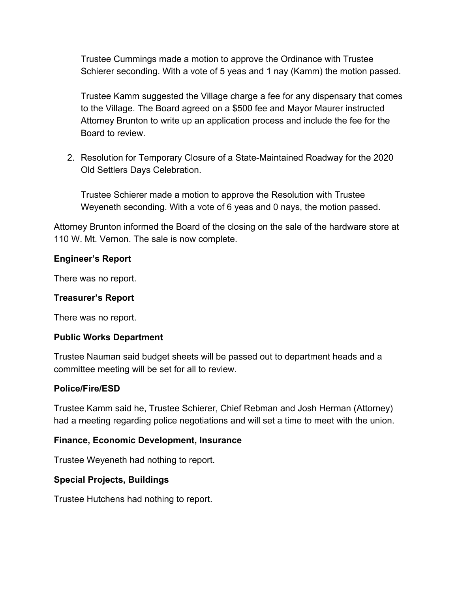Trustee Cummings made a motion to approve the Ordinance with Trustee Schierer seconding. With a vote of 5 yeas and 1 nay (Kamm) the motion passed.

Trustee Kamm suggested the Village charge a fee for any dispensary that comes to the Village. The Board agreed on a \$500 fee and Mayor Maurer instructed Attorney Brunton to write up an application process and include the fee for the Board to review.

2. Resolution for Temporary Closure of a State-Maintained Roadway for the 2020 Old Settlers Days Celebration.

Trustee Schierer made a motion to approve the Resolution with Trustee Weyeneth seconding. With a vote of 6 yeas and 0 nays, the motion passed.

Attorney Brunton informed the Board of the closing on the sale of the hardware store at 110 W. Mt. Vernon. The sale is now complete.

### **Engineer's Report**

There was no report.

#### **Treasurer's Report**

There was no report.

#### **Public Works Department**

Trustee Nauman said budget sheets will be passed out to department heads and a committee meeting will be set for all to review.

#### **Police/Fire/ESD**

Trustee Kamm said he, Trustee Schierer, Chief Rebman and Josh Herman (Attorney) had a meeting regarding police negotiations and will set a time to meet with the union.

#### **Finance, Economic Development, Insurance**

Trustee Weyeneth had nothing to report.

#### **Special Projects, Buildings**

Trustee Hutchens had nothing to report.